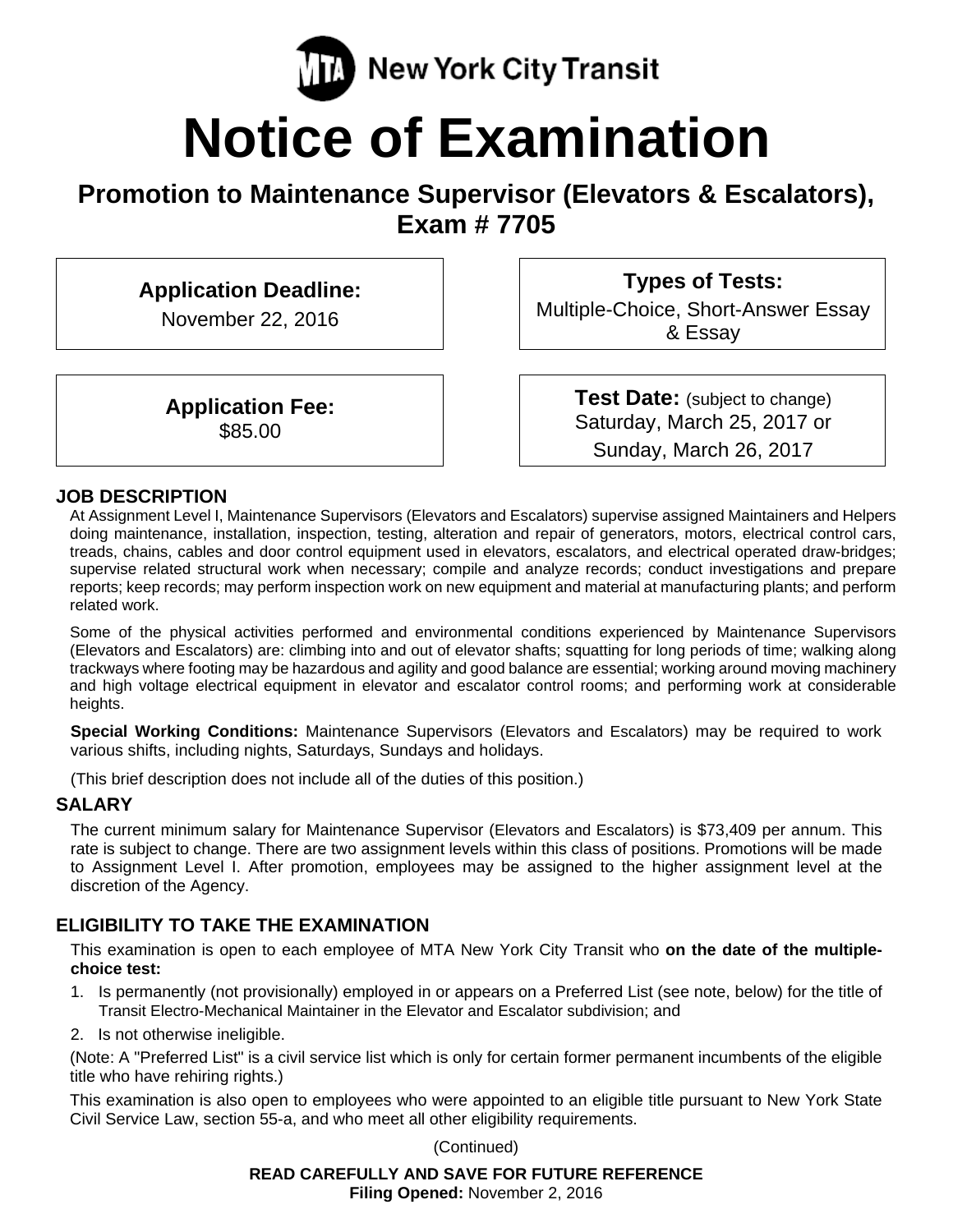

# **Notice of Examination**

# **Promotion to Maintenance Supervisor (Elevators & Escalators), Exam # 7705**

# **Application Deadline:**

November 22, 2016

**Application Fee:**  \$85.00

**Types of Tests:** 

Multiple-Choice, Short-Answer Essay & Essay

> **Test Date:** (subject to change) Saturday, March 25, 2017 or Sunday, March 26, 2017

#### **JOB DESCRIPTION**

At Assignment Level I, Maintenance Supervisors (Elevators and Escalators) supervise assigned Maintainers and Helpers doing maintenance, installation, inspection, testing, alteration and repair of generators, motors, electrical control cars, treads, chains, cables and door control equipment used in elevators, escalators, and electrical operated draw-bridges; supervise related structural work when necessary; compile and analyze records; conduct investigations and prepare reports; keep records; may perform inspection work on new equipment and material at manufacturing plants; and perform related work.

Some of the physical activities performed and environmental conditions experienced by Maintenance Supervisors (Elevators and Escalators) are: climbing into and out of elevator shafts; squatting for long periods of time; walking along trackways where footing may be hazardous and agility and good balance are essential; working around moving machinery and high voltage electrical equipment in elevator and escalator control rooms; and performing work at considerable heights.

**Special Working Conditions:** Maintenance Supervisors (Elevators and Escalators) may be required to work various shifts, including nights, Saturdays, Sundays and holidays.

(This brief description does not include all of the duties of this position.)

#### **SALARY**

The current minimum salary for Maintenance Supervisor (Elevators and Escalators) is \$73,409 per annum. This rate is subject to change. There are two assignment levels within this class of positions. Promotions will be made to Assignment Level I. After promotion, employees may be assigned to the higher assignment level at the discretion of the Agency.

# **ELIGIBILITY TO TAKE THE EXAMINATION**

This examination is open to each employee of MTA New York City Transit who **on the date of the multiplechoice test:** 

- 1. Is permanently (not provisionally) employed in or appears on a Preferred List (see note, below) for the title of Transit Electro-Mechanical Maintainer in the Elevator and Escalator subdivision; and
- 2. Is not otherwise ineligible.

(Note: A "Preferred List" is a civil service list which is only for certain former permanent incumbents of the eligible title who have rehiring rights.)

This examination is also open to employees who were appointed to an eligible title pursuant to New York State Civil Service Law, section 55-a, and who meet all other eligibility requirements.

(Continued)

**READ CAREFULLY AND SAVE FOR FUTURE REFERENCE Filing Opened:** November 2, 2016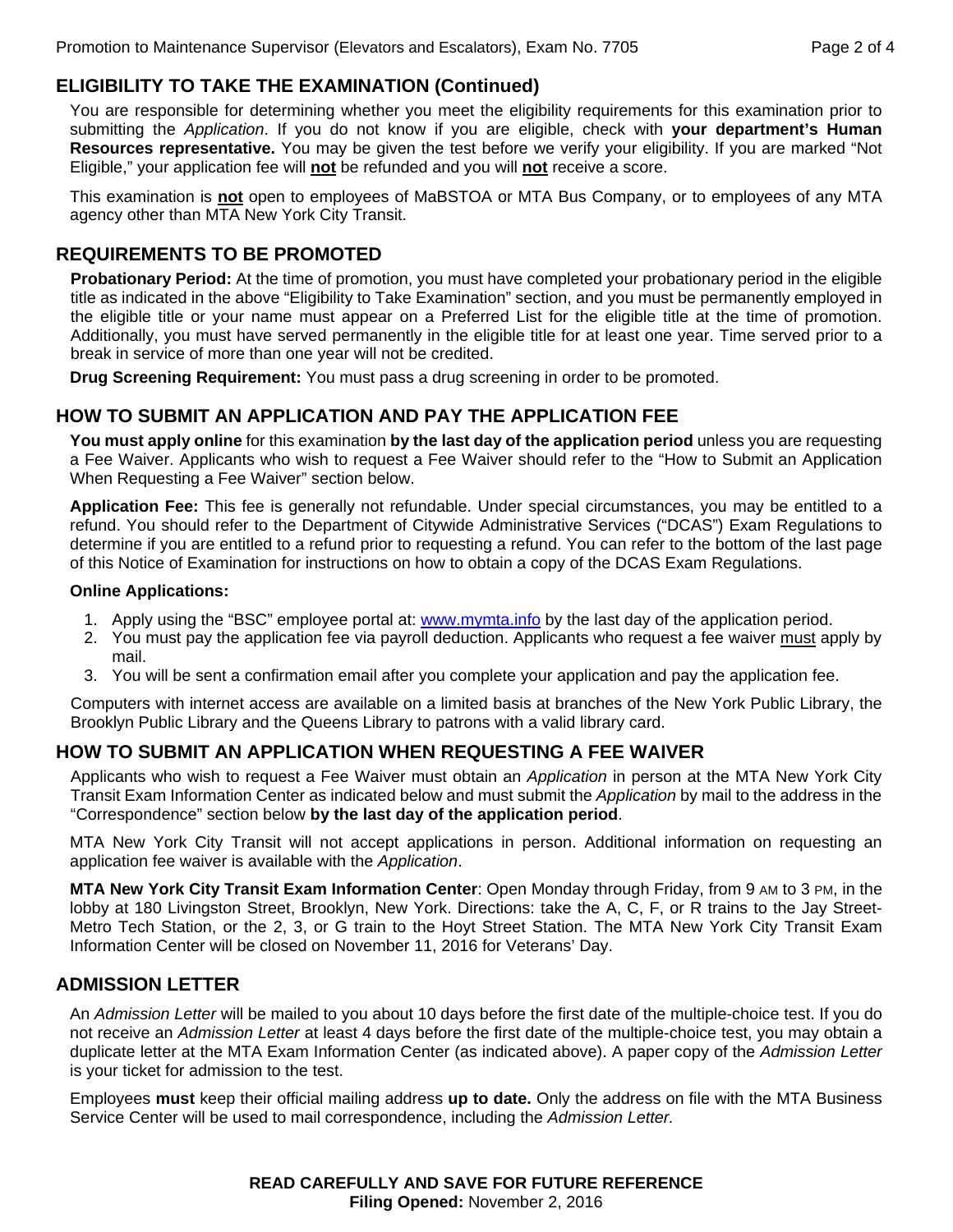# **ELIGIBILITY TO TAKE THE EXAMINATION (Continued)**

You are responsible for determining whether you meet the eligibility requirements for this examination prior to submitting the *Application*. If you do not know if you are eligible, check with **your department's Human Resources representative.** You may be given the test before we verify your eligibility. If you are marked "Not Eligible," your application fee will **not** be refunded and you will **not** receive a score.

This examination is **not** open to employees of MaBSTOA or MTA Bus Company, or to employees of any MTA agency other than MTA New York City Transit.

#### **REQUIREMENTS TO BE PROMOTED**

**Probationary Period:** At the time of promotion, you must have completed your probationary period in the eligible title as indicated in the above "Eligibility to Take Examination" section, and you must be permanently employed in the eligible title or your name must appear on a Preferred List for the eligible title at the time of promotion. Additionally, you must have served permanently in the eligible title for at least one year. Time served prior to a break in service of more than one year will not be credited.

**Drug Screening Requirement:** You must pass a drug screening in order to be promoted.

#### **HOW TO SUBMIT AN APPLICATION AND PAY THE APPLICATION FEE**

**You must apply online** for this examination **by the last day of the application period** unless you are requesting a Fee Waiver. Applicants who wish to request a Fee Waiver should refer to the "How to Submit an Application When Requesting a Fee Waiver" section below.

**Application Fee:** This fee is generally not refundable. Under special circumstances, you may be entitled to a refund. You should refer to the Department of Citywide Administrative Services ("DCAS") Exam Regulations to determine if you are entitled to a refund prior to requesting a refund. You can refer to the bottom of the last page of this Notice of Examination for instructions on how to obtain a copy of the DCAS Exam Regulations.

#### **Online Applications:**

- 1. Apply using the "BSC" employee portal at: www.mymta.info by the last day of the application period.
- 2. You must pay the application fee via payroll deduction. Applicants who request a fee waiver must apply by mail.
- 3. You will be sent a confirmation email after you complete your application and pay the application fee.

Computers with internet access are available on a limited basis at branches of the New York Public Library, the Brooklyn Public Library and the Queens Library to patrons with a valid library card.

# **HOW TO SUBMIT AN APPLICATION WHEN REQUESTING A FEE WAIVER**

Applicants who wish to request a Fee Waiver must obtain an *Application* in person at the MTA New York City Transit Exam Information Center as indicated below and must submit the *Application* by mail to the address in the "Correspondence" section below **by the last day of the application period**.

MTA New York City Transit will not accept applications in person. Additional information on requesting an application fee waiver is available with the *Application*.

**MTA New York City Transit Exam Information Center**: Open Monday through Friday, from 9 AM to 3 PM, in the lobby at 180 Livingston Street, Brooklyn, New York. Directions: take the A, C, F, or R trains to the Jay Street-Metro Tech Station, or the 2, 3, or G train to the Hoyt Street Station. The MTA New York City Transit Exam Information Center will be closed on November 11, 2016 for Veterans' Day.

# **ADMISSION LETTER**

An *Admission Letter* will be mailed to you about 10 days before the first date of the multiple-choice test. If you do not receive an *Admission Letter* at least 4 days before the first date of the multiple-choice test, you may obtain a duplicate letter at the MTA Exam Information Center (as indicated above). A paper copy of the *Admission Letter* is your ticket for admission to the test.

Employees **must** keep their official mailing address **up to date.** Only the address on file with the MTA Business Service Center will be used to mail correspondence, including the *Admission Letter.*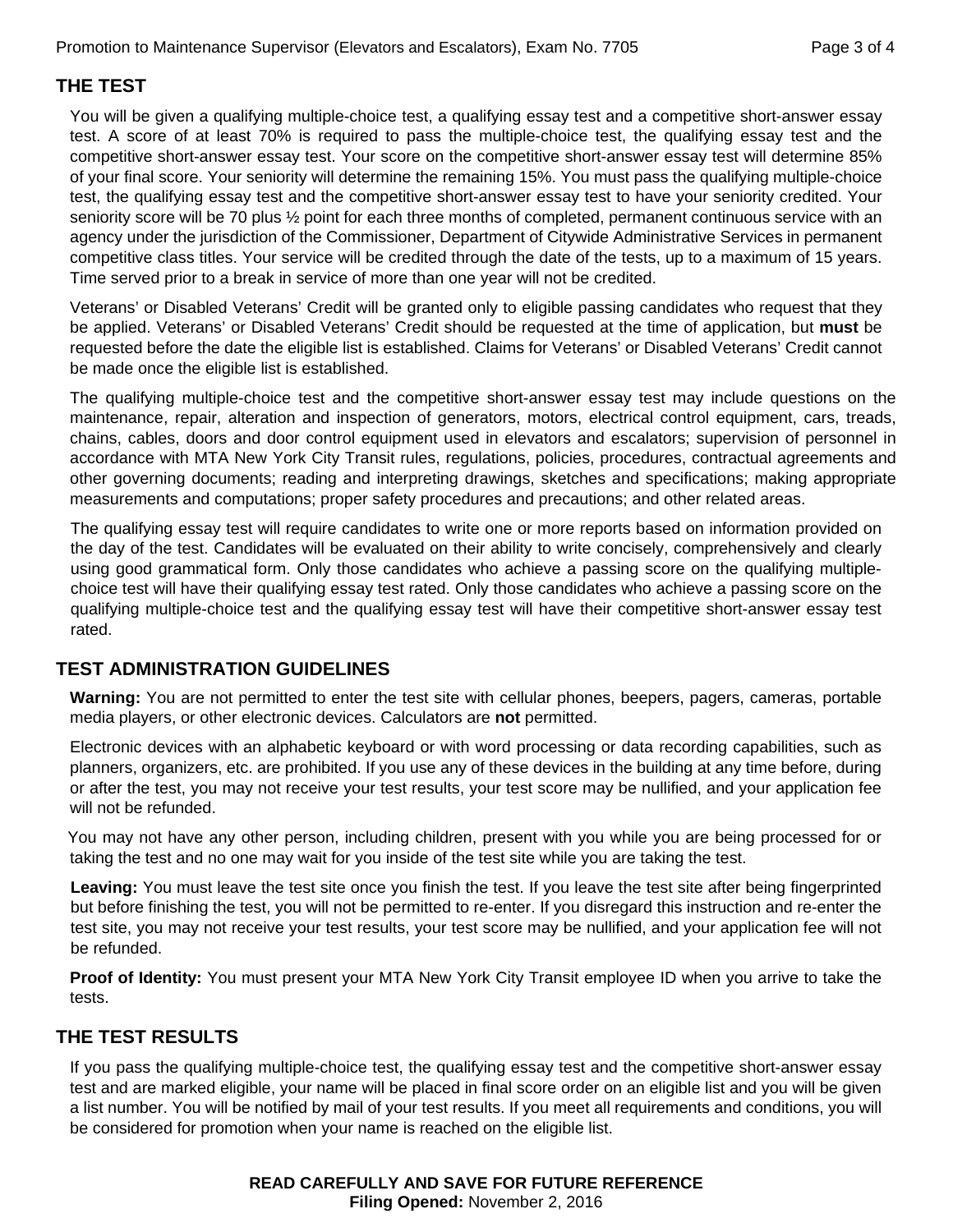# **THE TEST**

You will be given a qualifying multiple-choice test, a qualifying essay test and a competitive short-answer essay test. A score of at least 70% is required to pass the multiple-choice test, the qualifying essay test and the competitive short-answer essay test. Your score on the competitive short-answer essay test will determine 85% of your final score. Your seniority will determine the remaining 15%. You must pass the qualifying multiple-choice test, the qualifying essay test and the competitive short-answer essay test to have your seniority credited. Your seniority score will be 70 plus ½ point for each three months of completed, permanent continuous service with an agency under the jurisdiction of the Commissioner, Department of Citywide Administrative Services in permanent competitive class titles. Your service will be credited through the date of the tests, up to a maximum of 15 years. Time served prior to a break in service of more than one year will not be credited.

Veterans' or Disabled Veterans' Credit will be granted only to eligible passing candidates who request that they be applied. Veterans' or Disabled Veterans' Credit should be requested at the time of application, but **must** be requested before the date the eligible list is established. Claims for Veterans' or Disabled Veterans' Credit cannot be made once the eligible list is established.

The qualifying multiple-choice test and the competitive short-answer essay test may include questions on the maintenance, repair, alteration and inspection of generators, motors, electrical control equipment, cars, treads, chains, cables, doors and door control equipment used in elevators and escalators; supervision of personnel in accordance with MTA New York City Transit rules, regulations, policies, procedures, contractual agreements and other governing documents; reading and interpreting drawings, sketches and specifications; making appropriate measurements and computations; proper safety procedures and precautions; and other related areas.

The qualifying essay test will require candidates to write one or more reports based on information provided on the day of the test. Candidates will be evaluated on their ability to write concisely, comprehensively and clearly using good grammatical form. Only those candidates who achieve a passing score on the qualifying multiplechoice test will have their qualifying essay test rated. Only those candidates who achieve a passing score on the qualifying multiple-choice test and the qualifying essay test will have their competitive short-answer essay test rated.

# **TEST ADMINISTRATION GUIDELINES**

**Warning:** You are not permitted to enter the test site with cellular phones, beepers, pagers, cameras, portable media players, or other electronic devices. Calculators are **not** permitted.

Electronic devices with an alphabetic keyboard or with word processing or data recording capabilities, such as planners, organizers, etc. are prohibited. If you use any of these devices in the building at any time before, during or after the test, you may not receive your test results, your test score may be nullified, and your application fee will not be refunded.

 You may not have any other person, including children, present with you while you are being processed for or taking the test and no one may wait for you inside of the test site while you are taking the test.

**Leaving:** You must leave the test site once you finish the test. If you leave the test site after being fingerprinted but before finishing the test, you will not be permitted to re-enter. If you disregard this instruction and re-enter the test site, you may not receive your test results, your test score may be nullified, and your application fee will not be refunded.

**Proof of Identity:** You must present your MTA New York City Transit employee ID when you arrive to take the tests.

# **THE TEST RESULTS**

If you pass the qualifying multiple-choice test, the qualifying essay test and the competitive short-answer essay test and are marked eligible, your name will be placed in final score order on an eligible list and you will be given a list number. You will be notified by mail of your test results. If you meet all requirements and conditions, you will be considered for promotion when your name is reached on the eligible list.

#### **READ CAREFULLY AND SAVE FOR FUTURE REFERENCE Filing Opened:** November 2, 2016